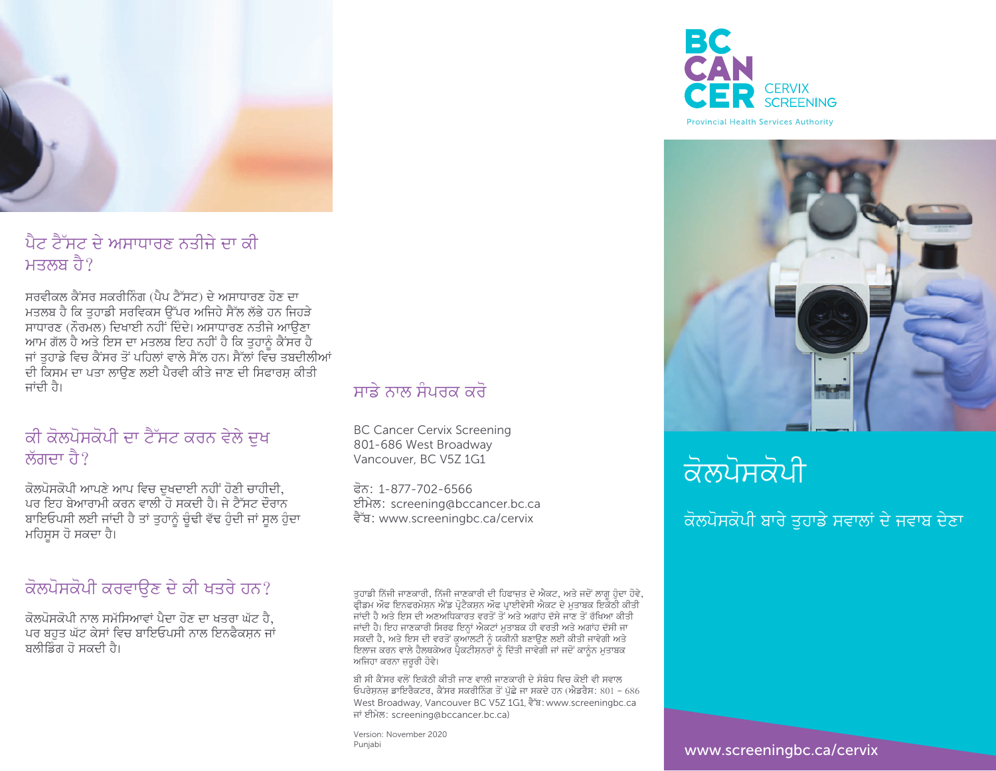

ਪੈਟ ਟੈੱਸਟ ਦੇ ਅਸਾਧਾਰਣ ਨਤੀਜੇ ਦਾ ਕੀ ਮਤਲਬ ਹੈ $\ell$ 

 $\overline{B}$ ਸਰਵੀਕਲ ਕੈਂਸਰ ਸਕਰੀਨਿੰਗ (ਪੈਪ ਟੈੱਸਟ) ਦੇ ਅਸਾਧਾਰਣ ਹੋਣ ਦਾ ਮਤਲਬ ਹੈ ਕਿ ਤਹਾਡੀ ਸਰਵਿਕਸ ੳੱਪਰ ਅਜਿਹੇ ਸੈੱਲ ਲੱਭੇ ਹਨ ਜਿਹੜੇ ਸਾਧਾਰਣ (ਨੌਰਮਲ) ਦਿਖਾਈ ਨਹੀਂ ਦਿੰਦੇ। ਅਸਾਧਾਰਣ ਨਤੀਜੇ ਆੳਣਾ <u>ਆਮ ਗੱਲ ਹੈ ਅਤੇ ਇਸ ਦਾ ਮਤਲਬ ਇਹ ਨਹੀਂ ਹੈ ਕਿ ਤੁਹਾਨੂੰ ਕੈਂਸਰ ਹੈ</u> ਜਾਂ ਤੁਹਾਡੇ ਵਿਚ ਕੈਂਸਰ ਤੋਂ ਪਹਿਲਾਂ ਵਾਲੇ ਸੈੱਲ ਹਨ। ਸੈੱਲਾਂ ਵਿਚ ਤਬਦੀਲੀਆਂ ਦੀ ਕਿਸਮ ਦਾ ਪਤਾ ਲਾੳਣ ਲਈ ਪੈਰਵੀ ਕੀਤੇ ਜਾਣ ਦੀ ਸਿਫਾਰਸ਼ ਕੀਤੀ ਜਾਂਦੀ ਹੈ।

### ਕੀ ਕੋਲਪੋਸਕੋਪੀ ਦਾ ਟੈੱਸਟ ਕਰਨ ਵੇਲੇ ਦਖ <u>ਲੱਗਦਾ ਹੈ?</u>

ਕੋਲਪੋਸਕੋਪੀ ਆਪਣੇ ਆਪ ਵਿਚ ਦਖਦਾਈ ਨਹੀਂ ਹੋਣੀ ਚਾਹੀਦੀ, ਪਰ ਇਹ ਬੇਆਰਾਮੀ ਕਰਨ ਵਾਲੀ ਹੋ ਸਕਦੀ ਹੈ। ਜੇ ਟੈੱਸਟ ਦੌਰਾਨ ਬਾਇਓਪਸੀ ਲਈ ਜਾਂਦੀ ਹੈ ਤਾਂ ਤੁਹਾਨੂੰ ਚੁੰਢੀ ਵੱਢ ਹੁੰਦੀ ਜਾਂ ਸੁਲ ਹੁੰਦਾ ਮਹਿਸੂਸ ਹੋ ਸਕਦਾ ਹੈ।

#### ਕੋਲਪੋਸਕੋਪੀ ਕਰਵਾੳਣ ਦੇ ਕੀ ਖਤਰੇ ਹਨ?

ਕੋਲਪੋਸਕੋਪੀ ਨਾਲ ਸਮੱਸਿਆਵਾਂ ਪੈਦਾ ਹੋਣ ਦਾ ਖਤਰਾ ਘੱਟ ਹੈ, ਪਰ ਬਹੁਤ ਘੱਟ ਕੇਸਾਂ ਵਿਚ ਬਾਇਓਪਸੀ ਨਾਲ ਇਨਫੈਕਸ਼ਨ ਜਾਂ ਬਲੀਡਿੰਗ ਹੋ ਸਕਦੀ ਹੈ।

### ਸਾਡੇ ਨਾਲ ਸੰਪਰਕ ਕਰੋ

BC Cancer Cervix Screening 801-686 West Broadway Vancouver, BC V5Z 1G1

ਫੋਨ: 1-877-702-6566 ਈਮੇਲ: screening@bccancer.bc.ca ਵੈੱਬ: www.screeningbc.ca/cervix

ਤੁਹਾਡੀ ਨਿੱਜੀ ਜਾਣਕਾਰੀ, ਨਿੱਜੀ ਜਾਣਕਾਰੀ ਦੀ ਹਿਫਾਜ਼ਤ ਦੇ ਐਕਟ, ਅਤੇ ਜਦੋਂ ਲਾਗੂ ਹੁੰਦਾ ਹੋਵੇ, ਫ੍ਰੀਡਮ ਅੰਫ ਇਨਫਰਮੇਸ਼ਨ ਐਂਡ ਪ੍ਰੋਟੈਕਸ਼ਨ ਅੰਫ ਪ੍ਰਾਈਵੇਸੀ ਐਕਟ ਦੇ ਮੁਤਾਬਕ ਇਕੱਠੀ ਕੀਤੀ। ਜਾਂਦੀ ਹੈ ਅਤੇ ਇਸ ਦੀ ਅਣਅਧਿਕਾਰਤ ਵਰਤੋਂ ਤੋਂ ਅਤੇ ਅਗਾਂਹ ਦੱਸੇ ਜਾਣ ਤੋਂ ਰੱਖਿਆ ਕੀਤੀ ਜਾਂਦੀ ਹੈ। ਇਹ ਜਾਣਕਾਰੀ ਸਿਰਫ ਇਨਾਂ ਐਕਟਾਂ ਮਤਾਬਕ ਹੀ ਵਰਤੀ ਅਤੇ ਅਗਾਂਹ ਦੱਸੀ ਜਾ ਲ ਕਿਹਾ ਕਿ ਕਿਹਾ ਕਿ ਸਾਲ ਕਾਲ ਕੀ ਮਾਰਚਾ ਦਾ ਸਾਲ ਕੀ ਮਾਰਚ ਸੀ।<br>ਸਕਦੀ ਹੈ, ਅਤੇ ਇਸ ਦੀ ਵਰਤੋਂ ਕੁਆਲਟੀ ਨੂੰ ਯਕੀਨੀ ਬਣਾਉਣ ਲਈ ਕੀਤੀ ਜਾਵੇਗੀ ਅਤੇ ਸਕਦਾ ਤੇ, ਜੇਤੇ ਇਸ ਦਾ ਵੇਤੇਤ ਕੁੰਮ ਲੈਣਾ ਲੂੰ ਕੰਕੀਨਾ ਕੇਂਦੇ ਝੂੰਦੇ ਲੈਣਾ ਕੀਤਾ ਜਾਂ ਵੰਗ ਮੌਤ<br>ਇਲਾਜ ਕਰਨ ਵਾਲੇ ਹੈਲਥਕੇਅਰ ਪ੍ਰੈਕਟੀਸ਼ਨਰਾਂ ਨੂੰ ਦਿੱਤੀ ਜਾਵੇਗੀ ਜਾਂ ਜਦੋਂ ਕਾਨੂੰਨ ਮੁਤਾਬਕ ਅਜਿਹਾ ਕਰਨਾ ਜ਼ਰਰੀ ਹੋਵੇ।

ਬੀ ਸੀ ਕੈਂਸਰ ਵਲੋਂ ਇਕੱਠੀ ਕੀਤੀ ਜਾਣ ਵਾਲੀ ਜਾਣਕਾਰੀ ਦੇ ਸੰਬੰਧ ਵਿਚ ਕੋਈ ਵੀ ਸਵਾਲ ਓਪਰੇਸਨਜ ਡਾਇਰੈਕਟਰ, ਕੈਂਸਰ ਸਕਰੀਨਿੰਗ ਤੋਂ ਪੱਛੇ ਜਾ ਸਕਦੇ ਹਨ (ਐਡਰੈਸ: 801 – 686 West Broadway, Vancouver BC V5Z 1G1, दैॅष्ठ: www.screeningbc.ca ਜਾਂ ਈਮੇਲ: screening@bccancer.bc.ca)

Version: November 2020



**Provincial Health Services Authority** 



# ਕੋਲਪੋਸਕੋਪੀ

### ਕੋਲਪੋਸਕੋਪੀ ਬਾਰੇ ਤਹਾਡੇ ਸਵਾਲਾਂ ਦੇ ਜਵਾਬ ਦੇਣਾ

www.screeningbc.ca/cervix